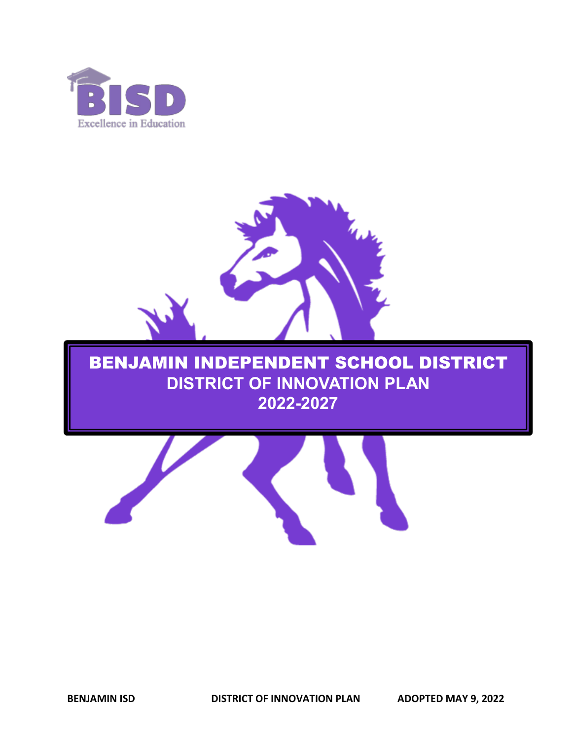



# BENJAMIN INDEPENDENT SCHOOL DISTRICT **DISTRICT OF INNOVATION PLAN 2022-2027**

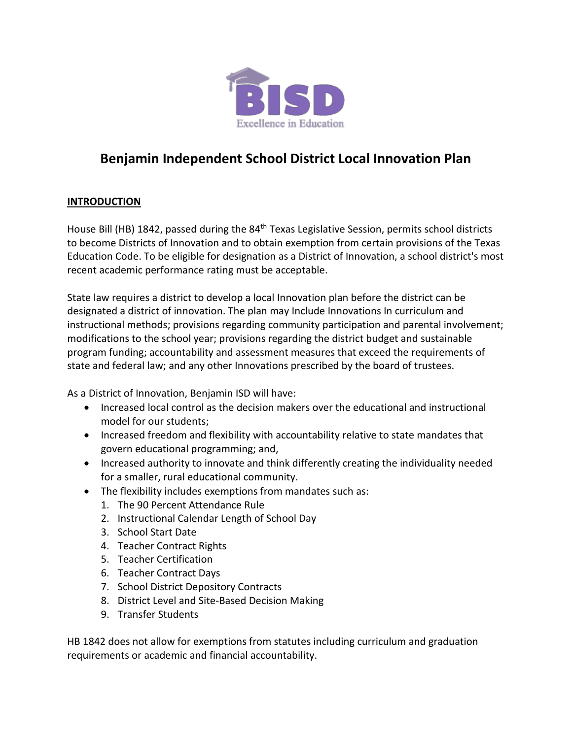

# **Benjamin Independent School District Local Innovation Plan**

### **INTRODUCTION**

House Bill (HB) 1842, passed during the 84<sup>th</sup> Texas Legislative Session, permits school districts to become Districts of Innovation and to obtain exemption from certain provisions of the Texas Education Code. To be eligible for designation as a District of Innovation, a school district's most recent academic performance rating must be acceptable.

State law requires a district to develop a local Innovation plan before the district can be designated a district of innovation. The plan may Include Innovations In curriculum and instructional methods; provisions regarding community participation and parental involvement; modifications to the school year; provisions regarding the district budget and sustainable program funding; accountability and assessment measures that exceed the requirements of state and federal law; and any other Innovations prescribed by the board of trustees.

As a District of Innovation, Benjamin ISD will have:

- Increased local control as the decision makers over the educational and instructional model for our students;
- Increased freedom and flexibility with accountability relative to state mandates that govern educational programming; and,
- Increased authority to innovate and think differently creating the individuality needed for a smaller, rural educational community.
- The flexibility includes exemptions from mandates such as:
	- 1. The 90 Percent Attendance Rule
	- 2. Instructional Calendar Length of School Day
	- 3. School Start Date
	- 4. Teacher Contract Rights
	- 5. Teacher Certification
	- 6. Teacher Contract Days
	- 7. School District Depository Contracts
	- 8. District Level and Site-Based Decision Making
	- 9. Transfer Students

HB 1842 does not allow for exemptions from statutes including curriculum and graduation requirements or academic and financial accountability.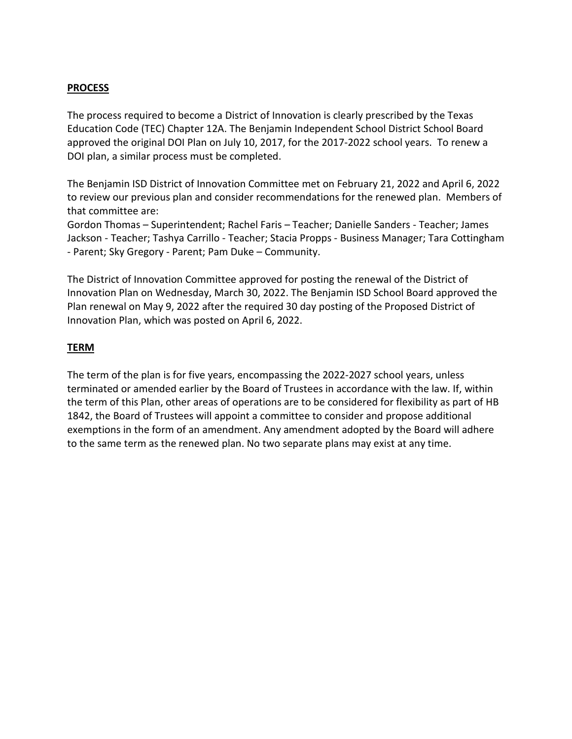### **PROCESS**

The process required to become a District of Innovation is clearly prescribed by the Texas Education Code (TEC) Chapter 12A. The Benjamin Independent School District School Board approved the original DOI Plan on July 10, 2017, for the 2017-2022 school years. To renew a DOI plan, a similar process must be completed.

The Benjamin ISD District of Innovation Committee met on February 21, 2022 and April 6, 2022 to review our previous plan and consider recommendations for the renewed plan. Members of that committee are:

Gordon Thomas – Superintendent; Rachel Faris – Teacher; Danielle Sanders - Teacher; James Jackson - Teacher; Tashya Carrillo - Teacher; Stacia Propps - Business Manager; Tara Cottingham - Parent; Sky Gregory - Parent; Pam Duke – Community.

The District of Innovation Committee approved for posting the renewal of the District of Innovation Plan on Wednesday, March 30, 2022. The Benjamin ISD School Board approved the Plan renewal on May 9, 2022 after the required 30 day posting of the Proposed District of Innovation Plan, which was posted on April 6, 2022.

#### **TERM**

The term of the plan is for five years, encompassing the 2022-2027 school years, unless terminated or amended earlier by the Board of Trustees in accordance with the law. If, within the term of this Plan, other areas of operations are to be considered for flexibility as part of HB 1842, the Board of Trustees will appoint a committee to consider and propose additional exemptions in the form of an amendment. Any amendment adopted by the Board will adhere to the same term as the renewed plan. No two separate plans may exist at any time.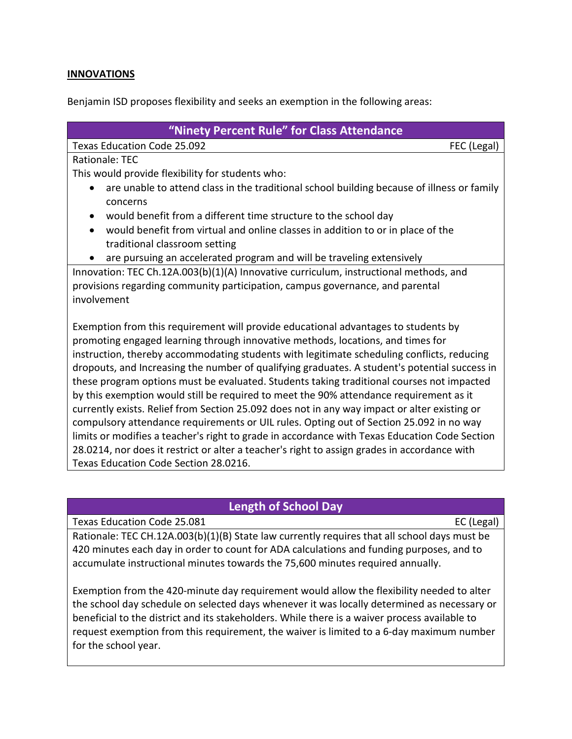### **INNOVATIONS**

Benjamin ISD proposes flexibility and seeks an exemption in the following areas:

| "Ninety Percent Rule" for Class Attendance                                                              |
|---------------------------------------------------------------------------------------------------------|
| Texas Education Code 25.092<br>FEC (Legal)                                                              |
| Rationale: TEC                                                                                          |
| This would provide flexibility for students who:                                                        |
|                                                                                                         |
| are unable to attend class in the traditional school building because of illness or family<br>$\bullet$ |
| concerns                                                                                                |
| would benefit from a different time structure to the school day                                         |
| would benefit from virtual and online classes in addition to or in place of the                         |
| traditional classroom setting                                                                           |
| are pursuing an accelerated program and will be traveling extensively                                   |
| Innovation: TEC Ch.12A.003(b)(1)(A) Innovative curriculum, instructional methods, and                   |
| provisions regarding community participation, campus governance, and parental                           |
| involvement                                                                                             |
|                                                                                                         |
| Exemption from this requirement will provide educational advantages to students by                      |
| promoting engaged learning through innovative methods, locations, and times for                         |
| instruction, thereby accommodating students with legitimate scheduling conflicts, reducing              |
| dropouts, and Increasing the number of qualifying graduates. A student's potential success in           |
| these program options must be evaluated. Students taking traditional courses not impacted               |
| by this exemption would still be required to meet the 90% attendance requirement as it                  |
| currently exists. Relief from Section 25.092 does not in any way impact or alter existing or            |
| compulsory attendance requirements or UIL rules. Opting out of Section 25.092 in no way                 |
| limits or modifies a teacher's right to grade in accordance with Texas Education Code Section           |
| 28.0214, nor does it restrict or alter a teacher's right to assign grades in accordance with            |
| Texas Education Code Section 28.0216.                                                                   |
|                                                                                                         |

### **Length of School Day**

Texas Education Code 25.081 exas Education Code 25.081

Rationale: TEC CH.12A.003(b)(1)(B) State law currently requires that all school days must be 420 minutes each day in order to count for ADA calculations and funding purposes, and to accumulate instructional minutes towards the 75,600 minutes required annually.

Exemption from the 420-minute day requirement would allow the flexibility needed to alter the school day schedule on selected days whenever it was locally determined as necessary or beneficial to the district and its stakeholders. While there is a waiver process available to request exemption from this requirement, the waiver is limited to a 6-day maximum number for the school year.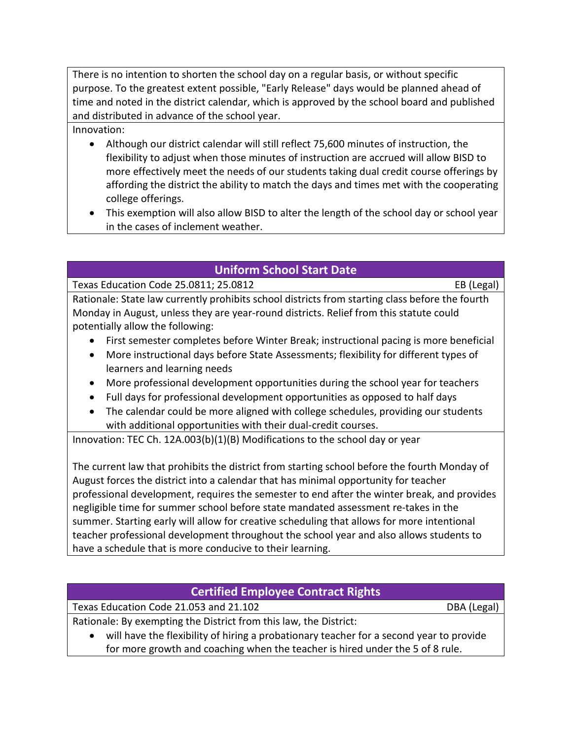There is no intention to shorten the school day on a regular basis, or without specific purpose. To the greatest extent possible, "Early Release" days would be planned ahead of time and noted in the district calendar, which is approved by the school board and published and distributed in advance of the school year.

Innovation:

- Although our district calendar will still reflect 75,600 minutes of instruction, the flexibility to adjust when those minutes of instruction are accrued will allow BISD to more effectively meet the needs of our students taking dual credit course offerings by affording the district the ability to match the days and times met with the cooperating college offerings.
- This exemption will also allow BISD to alter the length of the school day or school year in the cases of inclement weather.

# **Uniform School Start Date**

Texas Education Code 25.0811; 25.0812 EB (Legal)

Rationale: State law currently prohibits school districts from starting class before the fourth Monday in August, unless they are year-round districts. Relief from this statute could potentially allow the following:

- First semester completes before Winter Break; instructional pacing is more beneficial
- More instructional days before State Assessments; flexibility for different types of learners and learning needs
- More professional development opportunities during the school year for teachers
- Full days for professional development opportunities as opposed to half days
- The calendar could be more aligned with college schedules, providing our students with additional opportunities with their dual-credit courses.

Innovation: TEC Ch. 12A.003(b)(1)(B) Modifications to the school day or year

The current law that prohibits the district from starting school before the fourth Monday of August forces the district into a calendar that has minimal opportunity for teacher professional development, requires the semester to end after the winter break, and provides negligible time for summer school before state mandated assessment re-takes in the summer. Starting early will allow for creative scheduling that allows for more intentional teacher professional development throughout the school year and also allows students to have a schedule that is more conducive to their learning.

# **Certified Employee Contract Rights**

Texas Education Code 21.053 and 21.102 DBA (Legal)

Rationale: By exempting the District from this law, the District:

• will have the flexibility of hiring a probationary teacher for a second year to provide for more growth and coaching when the teacher is hired under the 5 of 8 rule.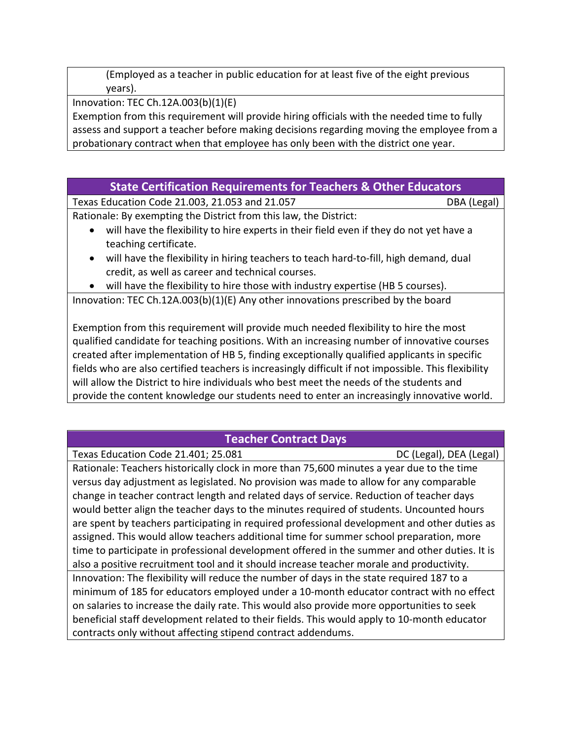(Employed as a teacher in public education for at least five of the eight previous years).

Innovation: TEC Ch.12A.003(b)(1)(E)

Exemption from this requirement will provide hiring officials with the needed time to fully assess and support a teacher before making decisions regarding moving the employee from a probationary contract when that employee has only been with the district one year.

### **State Certification Requirements for Teachers & Other Educators**

Texas Education Code 21.003, 21.053 and 21.057 DBA (Legal) Rationale: By exempting the District from this law, the District:

- will have the flexibility to hire experts in their field even if they do not yet have a teaching certificate.
- will have the flexibility in hiring teachers to teach hard-to-fill, high demand, dual credit, as well as career and technical courses.
- will have the flexibility to hire those with industry expertise (HB 5 courses).

Innovation: TEC Ch.12A.003(b)(1)(E) Any other innovations prescribed by the board

Exemption from this requirement will provide much needed flexibility to hire the most qualified candidate for teaching positions. With an increasing number of innovative courses created after implementation of HB 5, finding exceptionally qualified applicants in specific fields who are also certified teachers is increasingly difficult if not impossible. This flexibility will allow the District to hire individuals who best meet the needs of the students and provide the content knowledge our students need to enter an increasingly innovative world.

# **Teacher Contract Days**

Texas Education Code 21.401; 25.081 DC (Legal), DEA (Legal) Rationale: Teachers historically clock in more than 75,600 minutes a year due to the time versus day adjustment as legislated. No provision was made to allow for any comparable change in teacher contract length and related days of service. Reduction of teacher days would better align the teacher days to the minutes required of students. Uncounted hours are spent by teachers participating in required professional development and other duties as assigned. This would allow teachers additional time for summer school preparation, more time to participate in professional development offered in the summer and other duties. It is also a positive recruitment tool and it should increase teacher morale and productivity. Innovation: The flexibility will reduce the number of days in the state required 187 to a minimum of 185 for educators employed under a 10-month educator contract with no effect

on salaries to increase the daily rate. This would also provide more opportunities to seek beneficial staff development related to their fields. This would apply to 10-month educator contracts only without affecting stipend contract addendums.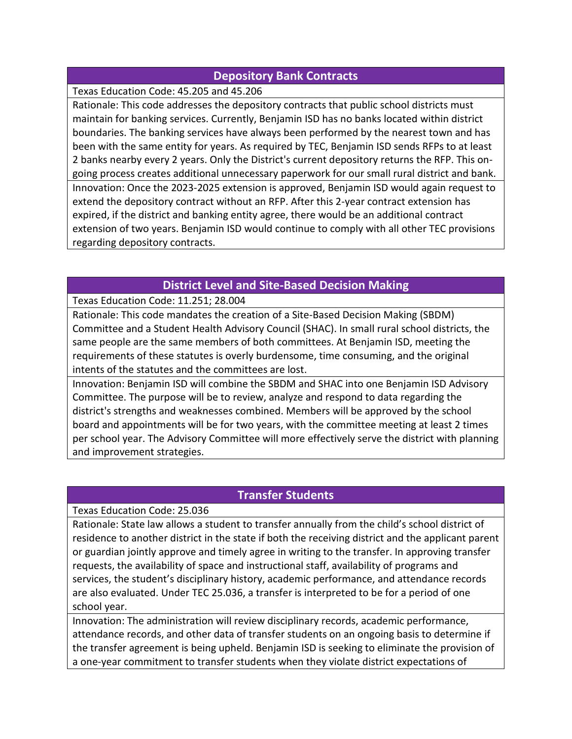### **Depository Bank Contracts**

Texas Education Code: 45.205 and 45.206

Rationale: This code addresses the depository contracts that public school districts must maintain for banking services. Currently, Benjamin ISD has no banks located within district boundaries. The banking services have always been performed by the nearest town and has been with the same entity for years. As required by TEC, Benjamin ISD sends RFPs to at least 2 banks nearby every 2 years. Only the District's current depository returns the RFP. This ongoing process creates additional unnecessary paperwork for our small rural district and bank. Innovation: Once the 2023-2025 extension is approved, Benjamin ISD would again request to extend the depository contract without an RFP. After this 2-year contract extension has expired, if the district and banking entity agree, there would be an additional contract extension of two years. Benjamin ISD would continue to comply with all other TEC provisions regarding depository contracts.

# **District Level and Site-Based Decision Making**

Texas Education Code: 11.251; 28.004

Rationale: This code mandates the creation of a Site-Based Decision Making (SBDM) Committee and a Student Health Advisory Council (SHAC). In small rural school districts, the same people are the same members of both committees. At Benjamin ISD, meeting the requirements of these statutes is overly burdensome, time consuming, and the original intents of the statutes and the committees are lost.

Innovation: Benjamin ISD will combine the SBDM and SHAC into one Benjamin ISD Advisory Committee. The purpose will be to review, analyze and respond to data regarding the district's strengths and weaknesses combined. Members will be approved by the school board and appointments will be for two years, with the committee meeting at least 2 times per school year. The Advisory Committee will more effectively serve the district with planning and improvement strategies.

# **Transfer Students**

Texas Education Code: 25.036

Rationale: State law allows a student to transfer annually from the child's school district of residence to another district in the state if both the receiving district and the applicant parent or guardian jointly approve and timely agree in writing to the transfer. In approving transfer requests, the availability of space and instructional staff, availability of programs and services, the student's disciplinary history, academic performance, and attendance records are also evaluated. Under TEC 25.036, a transfer is interpreted to be for a period of one school year.

Innovation: The administration will review disciplinary records, academic performance, attendance records, and other data of transfer students on an ongoing basis to determine if the transfer agreement is being upheld. Benjamin ISD is seeking to eliminate the provision of a one-year commitment to transfer students when they violate district expectations of